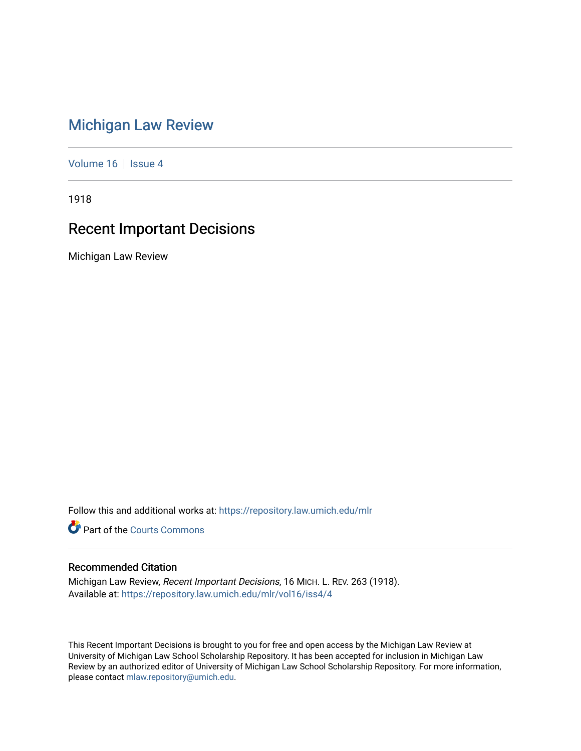## [Michigan Law Review](https://repository.law.umich.edu/mlr)

[Volume 16](https://repository.law.umich.edu/mlr/vol16) | [Issue 4](https://repository.law.umich.edu/mlr/vol16/iss4)

1918

## Recent Important Decisions

Michigan Law Review

Follow this and additional works at: [https://repository.law.umich.edu/mlr](https://repository.law.umich.edu/mlr?utm_source=repository.law.umich.edu%2Fmlr%2Fvol16%2Fiss4%2F4&utm_medium=PDF&utm_campaign=PDFCoverPages) 

**Part of the Courts Commons** 

## Recommended Citation

Michigan Law Review, Recent Important Decisions, 16 MICH. L. REV. 263 (1918). Available at: [https://repository.law.umich.edu/mlr/vol16/iss4/4](https://repository.law.umich.edu/mlr/vol16/iss4/4?utm_source=repository.law.umich.edu%2Fmlr%2Fvol16%2Fiss4%2F4&utm_medium=PDF&utm_campaign=PDFCoverPages)

This Recent Important Decisions is brought to you for free and open access by the Michigan Law Review at University of Michigan Law School Scholarship Repository. It has been accepted for inclusion in Michigan Law Review by an authorized editor of University of Michigan Law School Scholarship Repository. For more information, please contact [mlaw.repository@umich.edu.](mailto:mlaw.repository@umich.edu)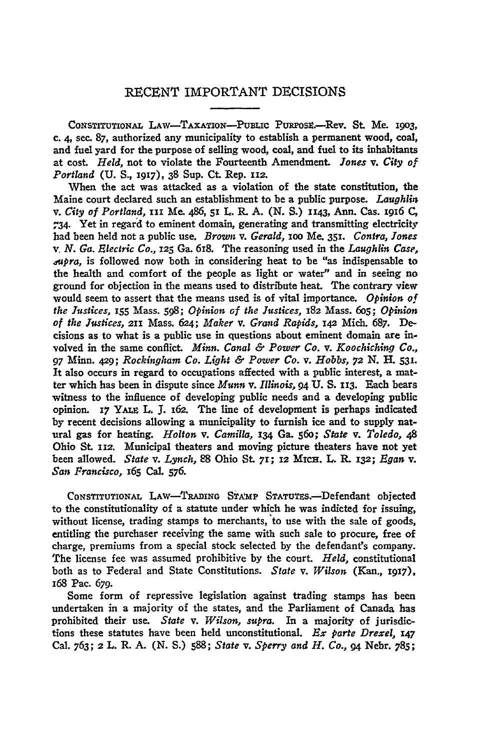## RECENT IMPORTANT DECISIONS

CONSTITUTIONAL LAW-TAXATION-PUBLIC PURPOSE.-Rev. St. Me. 1903, c. 4. sec. 87, authorized any municipality to establish a permanent wood, coal, and fuel yard for the purpose of selling wood, coal, and fuel to its inhabitants at cost. *Held,* not to violate the Fourteenth Amendment. *Jones* v. *City of Portland* (U. S., 1917), 38 Sup. Ct. Rep. 112.

When the act was attacked as a violation of the state constitution, the Maine court declared such an establishment to be a public purpose. *Laughlfo*  v. *City of Portland,* III Me. 486, SI L. R. A. (N. S.) u43, Ann. Cas. I9I6 C, :'34- Yet in regard to eminent domain, generating and transmitting electricity bad been held not a public use. *Brow1i* v. *Gerald,* 100 Me. 35I. *Contra, Jones*  v. *N. Ga. Electric Co.,* 125 Ga. 6I8. The reasoning used in the *Laughlin Case, 4«Pra,* is followed now both in considering heat to be "as indispensable to the health and comfort of the people as light or water" and in seeing no ground for objection in the means used to distribute heat. The contrary view would seem to assert that the means used is of vital importance. *Opinion of the Justices,* I55 Mass. *5g8; Opinion of the Justices,* I82 Mass. *6o5; Opinion of the Justices,* 2u Mass. *624; Maker* v. *Grand Rapids,* I42 Mich. 687. Decisions as to what is a public use in questions about eminent domain are involved in the same conflict. *Minn. Canal* & *Power Co.* v. *Koochiching Co., 97* Minn. *429; Rockingham Co. Light* & *Power Co.* v. *Hobbs, 72* N. H. 531. It also occurs in regard to occupations affected with a public interest, a matter which bas been in dispute since *Munn* v. *Illinois,* 94 U.S. u3. Each bears witness to the influence of developing public needs and a developing public opinion. 17 YALE L. J. 162. The line of development is perhaps indicated by recent decisions allowing a municipality to furnish ice and to supply natural gas for heating. *Holton v. Camilla*, 134 Ga. 560; *State v. Toledo*, 48 Ohio St. II2. Municipal theaters and moving picture theaters have not yet been allowed. *State* v. *Lynch,* 88 Ohio St. *71;* I2 MICH. L. R. 132; *Egan* v. *San Francisco,* 165 Cal. 576.

CONSTITUTIONAL LAW-TRADING STAMP STATUTES.-Defendant objected to the constitutionality of a statute under which he was indicted for issuing, without license, trading stamps to merchants, to use with the sale of goods, entitling the purchaser receiving the same with such sale to procure, free of charge, premiums from a special stock selected by the defendant's company. 'fhe license fee was assumed prohibitive by the court. *Held,* constitutional both as to Federal and State Constitutions. *State* v. *Wilson* (Kan., I9I7), I68 Pac. *679.* 

Some form of repressive legislation against trading stamps has been undertaken in a majority of the states, and the Parliament of Canada has prohibited their use. *State* v. *Wilson, supra.* In a majority of jurisdictions these statutes have been held unconstitutional. Ex parte Drexel, 147 Cal. 763; 2 L. R. A. (N. S.) 588; *State* v. *Sperry and H. Co.,* 94 Nebr. *785;*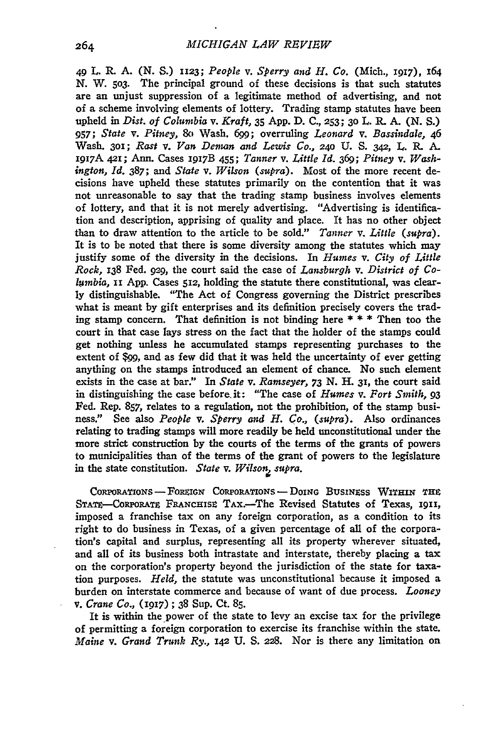49 L. R. A. (N. S.) u23; *People* v. *Sperry and H. Co.* (Mich., 1917), 164 N. W. 503. The principal ground of these decisions is that such statutes are an unjust suppression of a legitimate method of advertising, and not of a scheme involving elements of lottery. Trading stamp statutes have been upheld in *Dist. of Columbia* v. *Kraft,* 35 App. D. C., 253; 30 L. R. A. (N. S.) *957; State* v. *Pitney,* &1 Wash. 6gg; overruling *Leonard* v. *Bassindale,* 46 Wash. 301; *Rast* v. *Van Deman and Lewis Co.,* 240 U. S. 342, L. R. A. 1917A 421; Ann. Cases 1917B 455; *Tanner* v. *Little Id.* 36g; *Pitney* v. *Washington, Id.* 387; and *State* v. *Wilson (supra).* Most of the more recent decisions have upheld these statutes primarily on the contention that it was not unreasonable to say that the trading stamp business involves elements of lottery, and that it is not merely advertising. "Advertising is identification and description, apprising of quality and place. It has no other object than to draw attention to the article to be sold." *Tanner v. Little (supra)*. It is to be noted that there is some diversity among the statutes which may justify some of the diversity in the decisions. In *Humes* v. *City of Little Rock,* 138 Fed. 929, the court said the case of *Lansburgh* v. *District of Columbia*, II App. Cases 512, holding the statute there constitutional, was clearly distinguishable. "The Act of Congress governing the District prescribes what is meant by gift enterprises and its definition precisely covers the trading stamp concern. That definition is not binding here  $* * *$  Then too the court in that case lays stress on the fact that the holder of the stamps could get nothing unless he accumulated stamps representing purchases to the extent of \$99, and as few did that it was held the uncertainty of ever getting anything on the stamps introduced an element of chance. No such element exists in the case at bar." In *State* v. *Ramseyer, 73* N. H. 31, the court said in distinguishing the case before.it: "The case of *Humes* v. *Fort Smith,* 93 Fed. Rep. 857, relates to a regulation, not the prohibition, of the stamp business." See also *People v. Sperry and H. Co.*, (supra). Also ordinances relating to trading stamps will more readily be held unconstitutional under the more strict construction by the courts of the terms of the grants of powers to municipalities than of the terms of the grant of powers to the legislature in the state constitution. *State v. Wilson, supra*.

CORPORATIONS - FOREIGN CORPORATIONS - DOING BUSINESS WITHIN THE STATE-CORPORATE FRANCHISE TAX.-The Revised Statutes of Texas, 1911, imposed a franchise tax on any foreign corporation, as a condition to its right to do business in Texas, of a given percentage of all of the corporation's capital and surplus, representing all its property wherever situated, and all of its business both intrastate and interstate, thereby placing a tax on the corporation's property beyond the jurisdiction of the state for taxation purposes. *Held,* the statute was unconstitutional because it imposed a burden on interstate commerce and because of want of due process. *Looney*  v. *Crane Co.,* (1917); 38 Sup. Ct. 85.

It is within the power of the state to levy an excise tax for the privilege of permitting a foreign corporation to exercise its franchise within the state. *Maine* v. *Grand Trunk Ry.,* 142 U. S. 228. Nor is there any limitation on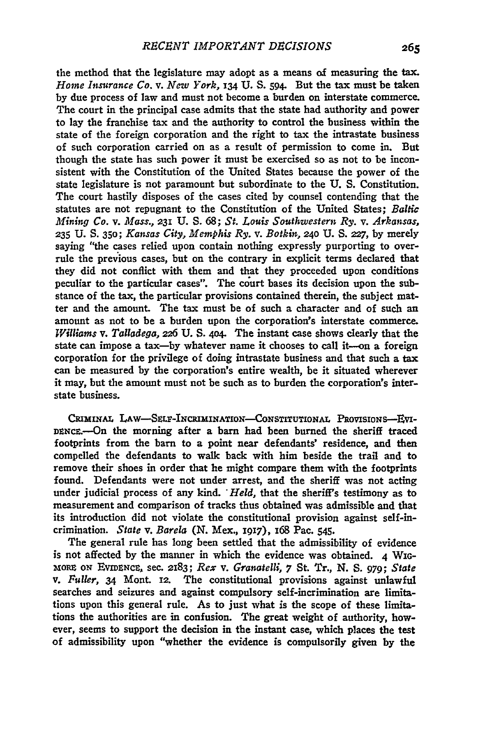the method that the legislature may adopt as a means of measuring the tax. *Home Insurance Co. v. New York, 134 U.S. 594. But the tax must be taken* by due process of law and must not become a burden on interstate commerce. The court in the principal case admits that the state had authority and power to lay the franchise tax and the authority to control the business within the state of the foreign corporation and the right to tax the intrastate business of such corporation carried on as a result of permission to come in. But though the state has such power it must be exercised so as not to be inconsistent with the Constitution of the United States because the power of the state legislature is not paramount but subordinate to the U. S. Constitution. The court hastily disposes of the cases cited by counsel contending that the statutes are not repugnant to the Constitution of the United States; *Baltic .Mining Co.* v. *Mass.,* 231 U. S. *68; St. Louis Southwestern Ry.* v. *Arkansas,*  235 U.S. 350; *Kansas City, Memphis Ry.* v. *Botkin,* 240 U.S. 227, by merely saying "the cases relied upon contain nothing expressly purporting to overrule the previous cases, but on the contrary in explicit terms declared that they did not conflict with them and that they proceeded upon conditions peculiar to the particular cases". The court bases its decision upon the substance of the tax, the particular provisions contained therein, the subject matter and the amount. The tax must be of such a character and of such an amount as not to be a burden upon the corporation's interstate commerce. *Williams* v. *Talladega,* 226 U. S. 404- The instant case shows clearly that the state can impose a tax-by whatever name it chooses to call it--on a foreign corporation for the privilege of doing intrastate business and that such a tax can be measured by the corporation's entire wealth, be it situated wherever it may, but the amount must not be such as to burden the corporation's interstate business.

CRIMINAL LAW-SELF-INCRIMINATION-CONSTITUTIONAL PROVISIONS-EVI-DSNcr:.-On the morning after a barn had been burned the sheriff traced footprints from the barn to a point near defendants' residence, and then compelled the defendants to walk back with him beside the trail and to remove their shoes in order that he might compare them with the footprints found. Defendants were not under arrest, and the sheriff was not acting under judicial process of any kind. *·Held,* that the sheriff's testimony as to measurement and comparison of tracks thus obtained was admissible and that its introduction did not violate the constitutional provision against self-incrimination. *State* v. *Barela* (N. Mex., 1917), 168 Pac. 545.

The general rule bas long been settled that the admissibility of evidence is not affected by the manner in which the evidence was obtained. 4 W1c-MORE ON EVIDENCE, sec. 2183; *Rex v. Granatelli,*  $7$  St. Tr., N. S. 979; State v. *Fuller,* 34 Mont. 12. The constitutional provisions against unlawful searches and seizures and against compulsory self-incrimination are limitations upon this general rule. As to just what is the scope of these limitations the authorities are in confusion. The great weight of authority, however, seems to support the decision in the instant case, which places the test of admissibility upon "whether the evidence is compulsorily given by the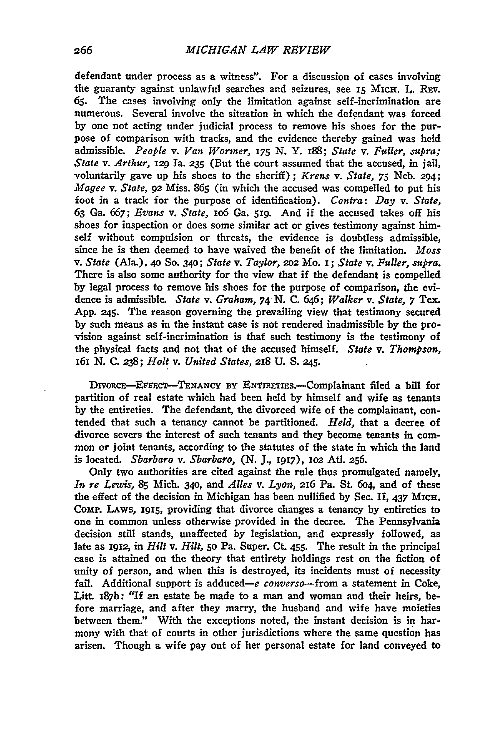defendant under process as a witness". For a discussion of cases involving the guaranty against unlawful searches and seizures, see 15 MICH. L. REV. 65. The cases involving only the limitation against self-incrimination are numerous. Several involve the situation in which the defendant was forced by one not acting under judicial process to remove his shoes for the purpose of comparison with tracks, and the evidence thereby gained was held admissible. *People* v. *Van Wormer,* 175 N. Y. 188; *State* v. *Fuller, supra; State* v. *Arthur,* 129 Ia. *235* (But the court assumed that the accused, in jail, voluntarily gave up his shoes to the sheriff); *Krens* v. *State,* 75 Neb. 294; *Magee* v. *State,* 92 Miss. 865 (in which the accused was compelled to put his foot in a track for the purpose of identification). *Contra: Day* v. *State,*  63 Ga. 667; *Evans* v. *State,* 1o6 Ga. 519. And if the accused takes off his shoes for inspection or does some similar act or gives testimony against himself without compulsion or threats, the evidence is doubtless admissible, since he is then deemed to have waived the benefit of the limitation. *Moss*  v. *State* (Ala.). 40 So. 340; *State* v. *Taylor, 202* Mo. I; *State* v. *Fuller, supra.*  There is also some authority for the view that if the defendant is compeiled by legal process to remove his shoes for the purpose of comparison, the evidence is admissible. *State* v. *Graham,* 74·N. C. 646; *Walker* v. *State, 7* Tex. App. 245. The reason governing the prevailing view that testimony secured by such means as in the instant case is not rendered inadmissible by the provision against self-incrimination is that such testimony is the testimony of the physical facts and not that of the accused himself. *State* v. *Thompson,*  161 N. C. *238; Holt* v. *United States,* 218 U. S. 245.

DIVORCE-EFFECT-TENANCY BY ENTIRETIES.-Complainant filed a bill for partition of real estate which had been held by himself and wife as tenants by the entireties. The defendant, the divorced wife of the complainant, contended that such a tenancy cannot be partitioned. *Held,* that a decree of divorce severs the interest of such tenants and they become tenants in common or joint tenants, according to the statutes of the state in which the land is located. *Sbarbaro* v. *Sbarbaro,* (N. J., 1917), 102 Atl. 256.

Only two authorities are cited against the rule thus promulgated namely, *In re Lewis,* 85 Mich. 340, and *Alles* v. *Lyon,* 216 Pa. St. 6o4, and of these the effect of the decision in Michigan has been nullified by Sec. II, *437* MICH. COMP. LAWS, 1915, providing that divorce changes a tenancy by entireties to one in common unless otherwise provided in the decree. The Pennsylvania decision still stands, unaffected by legislation, and expressly followed, as late as 1912, in *Hilt* v. *Hilt,* 50 Pa. Super. Ct. 455. The result in the principal case is attained on the theory that entirety holdings rest on the fiction of unity of person, and when this is destroyed, its incidents must of necessity fail. Additional support is adduced-e *converso-from* a statement in Coke, Litt. 187b: "If an estate be made to a man and woman and their heirs, before marriage, and after they marry, the husband and wife have moieties between them." With the exceptions noted, the instant decision is in harmony with that of courts in other jurisdictions where the same question has arisen. Though a wife pay out of her personal estate for land conveyed to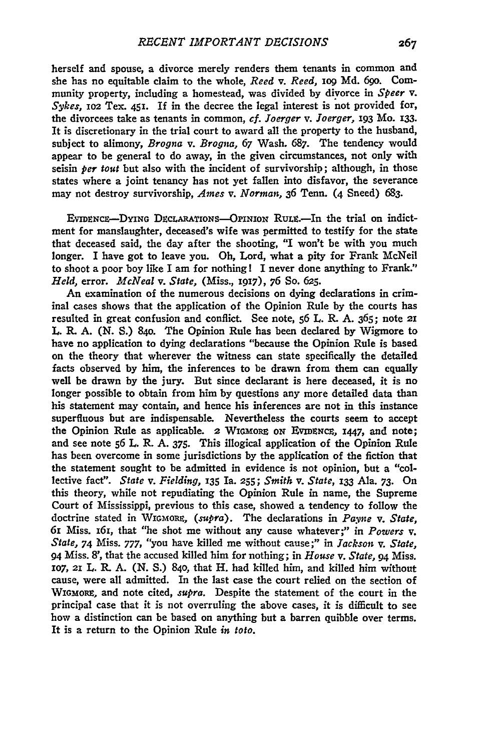herself and spouse, a divorce merely renders them tenants in common and she has no equitable claim to the whole, *Reed* v. *Reed,* 109 Md. 6go. Community property, including a homestead, was divided by divorce in *Speer* v. *Sykes,* 102 Tex. 451. If in the decree the legal interest is not provided for, the divorcees take as tenants in common, *cf. Joerger* v. *Joerger,* 193 Mo. 133. It is discretionary in the trial court to award all the property to the husband, subject to alimony, *Brogna* v. *Brogna,* 67 Wash. 687. The tendency would appear to be general to do away, in the given circumstances, not only with seisin *per tout* but also with the incident of survivorship; although, in those states where a joint tenancy has not yet fallen into disfavor, the severance may not destroy survivorship, *Ames* v. *Norman,* 36 Tenn. (4 Sneed) 683.

EVIDENCE-DYING DECLARATIONS-OPINION RULE.-In the trial on indictment for manslaughter, deceased's wife was permitted to testify for the state that deceased said, the day after the shooting, "I won't be with you much longer. I have got to leave you. Oh, Lord, what a pity for Frank McNeil to shoot a poor boy like I am for nothing! I never done anything to Frank." *Held,* error. *McNeal* v. *State,* (Miss., 1917), 76 So. 625.

An examination of the numerous decisions on dying declarations in criminal cases shows that the application of the Opinion Rule by the courts has resulted in great confusion and conflict. See note, 56 L. R. A. 365; note 21 L. R. A. (N. S.) 840. The Opinion Rule has been declared by Wigmore to have no application to dying declarations "because the Opinion Rule is based on the theory that wherever the witness can state specifically the detailed facts observed by him, the inferences to be drawn from them can equally well be drawn by the jury. But since declarant is here deceased, it is no longer possible to obtain from him by questions any more detailed data than his statement may contain, and hence his inferences are not in this instance superfluous but are indispensable. Nevertheless the courts seem to accept the Opinion Rule as applicable.  $2$  WIGMORE ON EVIDENCE, 1447, and note; and see note 56 L. R. A. 375. This illogical application of the Opinion Rule has been overcome in some jurisdictions by the application of the fiction that the statement sought to be admitted in evidence is not opinion, but a "collective fact". *State* v. *Fielding,* 135 Ia. 255; *Smith* v. *State,* 133 Ala. 73. On this theory, while not repudiating the Opinion Rule in name, the Supreme Court of Mississippi, previous to this case, showed a tendency to follow the doctrine stated in W1GMORS, *(supra).* The declarations in *Payne* v. *State,*  61 Miss. 161, that "he shot me without any cause whatever;" in *Powers* v. *State, 74 Miss. 777, "you have killed me without cause;" in <i>Jackson v. State,* 94 Miss. 8', that the accused killed him for nothing; in *House* v. *State,* 94 Miss. 107, 21 L. R. A. (N. S.) 840, that H. had killed him, and killed him without cause, were all admitted. In the last case the court relied on the section of W1GM0Rr:, and note cited, *supra.* Despite the statement of the court in the principal case that it is not overruling the above cases, it is difficult to see how a distinction can be based on anything but a barren quibble over terms. It is a return to the Opinion Rule *in toto.*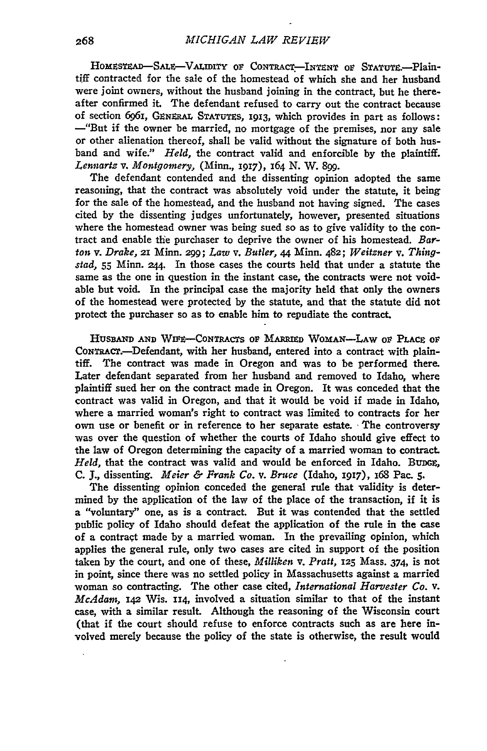HOMESTEAD-SALE-VALIDITY OF CONTRACT-INTENT OF STATUTE.-Plaintiff contracted for the sale of the homestead of which she and her husband were joint owners, without the husband joining in the contract, but he thereafter confirmed it. The defendant refused to carry out the contract because of section 6961, GENERAL STATUTES, 1913, which provides in part as follows: -"But if the owner be married, no mortgage of the premises, nor any sale or other alienation thereof, shall be valid without the signature of both husband and wife." *Held*, the contract valid and enforcible by the plaintiff. *Lennarlz* v. *Montgomery,* (Minn., 1917), 164 N. W. 899.

The defendant contended and the dissenting opinion adopted the same reasoning, that the contract was absolutely void under the statute, it being for the sale of the homestead, and the husband not having signed. The cases cited by the dissenting judges unfortunately, however, presented situations where the homestead owner was being sued so as to give validity to the contract and enable tlie purchaser to deprive the owner of his homestead. *Barton* v. *Drake,* 21 Minn. 299; *Law* v. *Butler,* 44 Minn. 482; *Weitzner* v. *Thingstad,* 55 Minn. 244- In those cases the courts held that under a statute the same as the one in question in the instant case, the contracts were not voidable but void. In the principal case the majority held that only the owners of the homestead were protected by the statute, and that the statute did not protect the purchaser so as to enable him to repudiate the contract.

HUSBAND AND WIFE-CONTRACTS OF MARRIED WOMAN-LAW OF PLACE OF CoNTRACT.-Defendant, with her husband, entered into a contract with plaintiff. The contract was made in Oregon and was to be performed there. Later defendant separated from her husband and removed to Idaho, where plaintiff sued her on the contract made in Oregon. It was conceded that the contract was valid in Oregon, and that it would be void if made in Idaho, where a married woman's right to contract was limited to contracts for her own use or benefit or in reference to her separate estate. · The controversy was over the question of whether the courts of Idaho should give effect to the law of Oregon determining the capacity of a married woman to contract. *Held,* that the contract was valid and would be enforced in Idaho. Bupge, C. J., dissenting. *Meier* & *Frank Co.* v. *Bruce* (Idaho, 1917), 168 Pac. 5.

The dissenting opinion conceded the general rule that validity is determined by the application of the law of the place of the transaction, if it is a "voluntary" one, as is a contract. But it was contended that the settled public policy of Idaho should defeat the application of the rule in the case of a contract made by a married woman. In the prevailing opinion, which applies the general rule, only two cases are cited in support of the position taken by the court, and one of these, *Milliken* v. *Pratt,* 125 Mass. 374, is not in point, since there was no settled policy in Massachusetts against a married woman so contracting. The other case cited, *International Harvester Co.* v. *McAdam,* 142 Wis. u4, involved a situation similar to that of the instant case, with a similar result. Although the reasoning of the Wisconsin court (that if the court should refuse to enforce contracts such as are here involved merely because the policy of the state is otherwise, the result would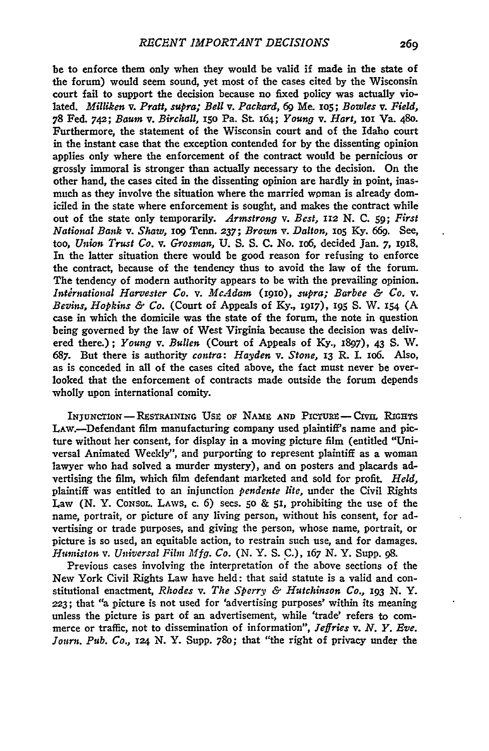be to enforce them only when they would be valid if made in the state of the forum) would seem sound, yet most of the cases cited by the Wisconsin court fail to support the decision because no fixed policy was actually violated. *Milliken* v. *Pratt, supra; Bell* v. *Packard, 6g* Me. 105; *Bowles* v. *Field,*  78 Fed. 742; *Baum* v. *Birchall,* I50 Pa. St. I64; *Young* v. *Hart,* IOI Va. 48o. Furthermore, the statement of the Wisconsin court and of the Idaho court in the instant case that the exception contended for by the dissenting opinion applies only where the enforcement of the contract would be pernicious or grossly immoral is stronger than actually necessary to the decision. On the other hand, the cases cited in the dissenting opinion are hardly in point, inasmuch as they involve the situation where the married wpman is already domiciled in the state where enforcement is sought, and makes the contract while out of the state only temporarily. *Armstrong* v. *Best,* n2 N. C. 59; *First National Bank* v. *Shaw,* I09 Tenn. 237; *Brown* v. *Dalton,* I05 Ky. *66g.* See, too, *Union Trust Co.* v. *Grosman,* U. S. S. C. No. 1o6, decided Jan. *7,* I918, In the latter situation there would be good reason for refusing to enforce the contract, because of the tendency thus to avoid the law of the forum. The tendency of modern authority appears to be with the prevailing opinion. *International Harvester Co.* v. *McAdam* (I9IO), *supra; Barbee* & *Co.* v. *Bevins, Hopkins* & *Co.* (Court of Appeals of Ky., 1917), 195 S. W. I54 (A case in which the domicile was the state of the forum, the note in question being governed by the law of West Virginia because the decision was delivered there.); *Young* v. *Bullen* (Court of Appeals of Ky., 18g7), 43 S. W. 687. But there is authority *contra: Hayden* v. *Stone,* I3 R. I. Io6. Also, as is conceded in all of the cases cited above, the fact must never be overlooked that the enforcement of contracts made outside the forum depends wholly upon international comity.

INJUNCTION-RESTRAINING USE OF NAME AND PICTURE-CIVIL RIGHTS LAw.-Defendant film manufacturing company used plaintiff's name and picture without her consent, for display in a moving picture film (entitled ''Universal Animated Weekly'', and purporting to represent plaintiff as a woman lawyer who had solved a murder mystery), and on posters and placards advertising the film, which film defendant marketed and sold for profit. *Held,*  plaintiff was entitled to an injunction *pendente lite,* under the Civil Rights Law (N. Y. CONSOL. LAWS, c. 6) secs. 50 & 5I, prohibiting the use of the name, portrait, or picture of any living person, without his consent, for advertising or trade purposes, and giving the person, whose name, portrait, or picture is so used, an equitable action, to restrain such use, and for damages. *Humiston* v. *Universal Film Mfg. Co.* (N. Y. S. C.), 167 N. Y. Supp. g8.

Previous cases involving the interpretation of the above sections of the New York Civil Rights Law have held: that said statute is a valid and constitutional enactment, *Rhodes* v. *The Sperry* & *Hutchinson Co.,* I93 N. Y. 223; that "a picture is not used for 'advertising purposes' within its meaning unless the picture is part of an advertisement, while 'trade' refers to commerce or traffic, not to dissemination of information", *Jeffries* v. *N. Y. Eve. lo1mi. Pub. Co.,* 124 N. Y. Supp. 780; that "the right of privacy under the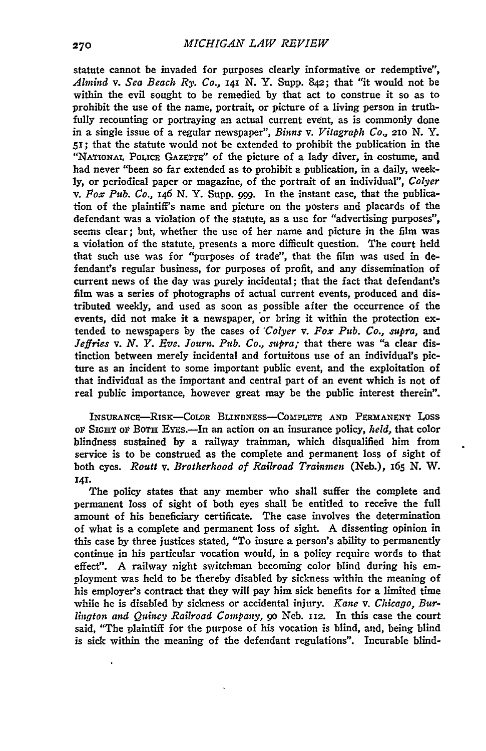statute cannot be invaded for purposes clearly informative or redemptive", *Almind v. Sea Beach Ry. Co., 141 N.Y. Supp. 842; that "it would not be* within the evil sought to be remedied by that act to construe it so as to prohibit the use of the name, portrait, or picture of a living person in truthfully recounting or portraying an actual current event, as is commonly done in a single issue of a regular newspaper", *Binns* v. *Vitagraph Co.,* 210 N. Y. 51; that the statute would not be extended to prohibit the publication in the "NATIONAL PoLICS GAZETTE" of the picture of a lady diver, in costume, and had never "been so far extended as to prohibit a publication, in a daily, weekly, or periodical paper or magazine, of the portrait of an individual", *Colyer*  v. *Fox Pub. Co.,* 146 N. Y. Supp. 999. In the instant case, that the publication of the plaintiff's name and picture on the posters and placards of the defendant was a violation of the statute, as a use for "advertising purposes", seems clear ; hut, whether the use of her name and picture in the film was a violation of the statute, presents a more difficult question. The court held that such use was for "purposes of trade", that the film was used in defendant's regular business, for purposes of profit, and any dissemination of current news of the day was purely incidental; that the fact that defendant's film was a series of photographs of actual current events, produced and distributed weekly, and used as soon as possible after the occurrence of the events, did not make it a newspaper, or bring it within the protection extended to newspapers by the cases of *·Colyer* v. *Fox Pub. Co., supra,* and Jeffries v. N. Y. Eve. Journ. Pub. Co., supra; that there was "a clear distinction between merely incidental and fortuitous use of an individual's picture as an incident to some important public event, and the exploitation of that individual as the important and central part of an event which is not of real public importance, however great may be the public interest therein".

INSURANCE-RISK-COLOR BLINDNESS-COMPLETE AND PERMANENT LOSS oF SIGHT oF BOTH Ens.-In an action on an insurance policy, *held,* that color blindness sustained by a railway trainman, which disqualified him from service is to be construed as the complete and permanent loss of sight of both eyes. *Routt* v. *Brotherhood of Railroad Trainmen* (Neb.), 165 N. W. 141.

The policy states that any member who shall suffer the complete and permanent loss of sight of both eyes shall be entitled to receive the full amount of his beneficiary certificate. The case involves the determination of what is a complete and permanent loss of sight. A dissenting opinion in this case by three justices stated, "To insure a person's ability to permanently continue in his particular vocation would, in a policy require words to that effect''. A railway night switchman becoming color blind during his employment was held to be thereby disabled by sickness within the meaning of his employer's contract that they will pay him sick benefits for a limited time while he is disabled by sickness or accidental injury. *Kane* v. *Chicago, Burlington and Quincy Railroad Company*, 90 Neb. 112. In this case the court said, "The plaintiff for the purpose of his vocation is blind, and, being blind is sick within the meaning of the defendant regulations". Incurable blind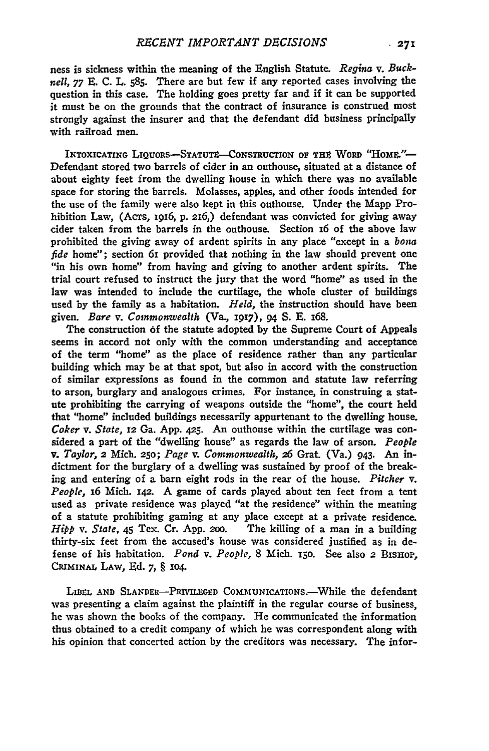ness is sickness within the meaning of the English Statute. *Regina* v. *Buck-11ell, 77* E. C. L. 585. There are but few if any reported cases involving the question in this case. The holding goes pretty far and if it can be supported it must be on the grounds that the contract of insurance is construed most strongly against the insurer and that the defendant did business principally with railroad men.

INTOXICATING LIQUORS-STATUTE-CONSTRUCTION OF THE WORD "HOME."-Defendant stored two barrels of cider in an outhouse, situated at a distance of about eighty feet from the dwelling house in which there was no available space for storing the barrels. Molasses, apples, and other foods intended for the use of the family were also kept in this outhouse. Under the Mapp Prohibition Law, (ACTS, I9I6, p. 2I6,) defendant was convicted for giving away cider taken from the barrels in the outhouse. Section 16 of the above law prohibited the giving away of ardent spirits in any place "except in a *bona fide* home"; section 6I provided that nothing in the law should prevent one "in his own home" from having and giving to another ardent spirits. The trial court refused to instruct the jury that the word "home" as used in the law was intended to include the curtilage, the whole cluster of buildings used by the family as a habitation. *Held,* the instruction should have been given. *Bare* v. *Commonwealth* (Va., I9I7), 94 S. E. I68.

The construction 6f the statute adopted by the Supreme Court of Appeals seems in accord not only with the common understanding and acceptance of the term "home" as the place of residence rather than any particular building which may be at that spot, but also in accord with the construction of similar expressions as found in the common and statute law referring to arson, burglary and analogous crimes. For instance, in construing a statute prohibiting the carrying of weapons outside the "home", the court held that "home" included buildings necessarily appurtenant to the dwelling house. *Coker* v. *Stote,* I2 Ga. App. 425. An outhouse within the curtilage was considered a part of the "dwelling house" as regards the law of arson. *People*  v. *Taylor,* 2 Mich. 250; *Page* v. *Commonwealth,* 26 Grat. (Va.) 943. An indictment for the burglary of a dwelling was sustained by proof of the breaking and entering of a barn eight rods in the rear of the house. *Pitcher* v. *People,* 16 Mich. I42. A game of cards played about ten feet from a tent used as private residence was played "at the residence" within the meaning of a statute prohibiting gaming at any place except at a private residence. *Hipp* v. *State,* 45 Tex. Cr. App. 200. The killing of a man in a building thirty-six feet from the accused's house was considered justified as in defense of his habitation. *Pond* v. *People,* 8 Mich. ISO. See also 2 BISHOP, CRIMINAL LAW, Ed. *7,* § I04-

LIBEL AND SLANDER-PRIVILEGED COMMUNICATIONS.-While the defendant was presenting a claim against the plaintiff in the regular course of business, he was shown the books of the company. He communicated the information thus obtained to a credit company of which he was correspondent along with his opinion that concerted action by the creditors was necessary. The infor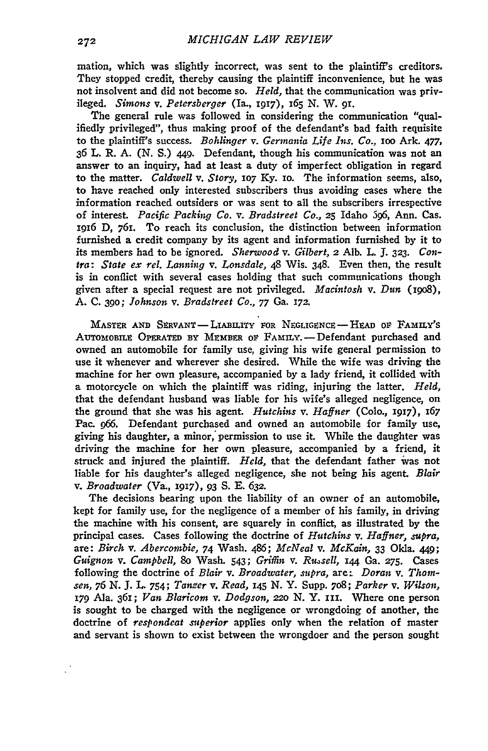mation, which was slightly incorrect, was sent to the plaintiff's creditors. They stopped credit, thereby causing the plaintiff inconvenience, but he was not insolvent and did not become so. *Held,* that the communication was privileged. *Simons* v. *Petersberger* (Ia., 1917), 165 N. W. 91.

The general rule was followed in considering the communication "qualifiedly privileged", thus making proof of the defendant's bad faith requisite to the plaintiff's success. *Bohlinger* v. *Germania Life bis. Co.,* 100 Ark. *477,*  36 L. R. A. (N. S.) 449. Defendant, though his communication was not an answer to an inquiry, had at least a duty of imperfect obligation in regard to the matter. *Caldwell* v. *Story,* 107 Ky. 10. The information seems, also, to have reached only interested subscribers thus avoiding cases where the information reached outsiders or was sent to all the subscribers irrespective of interest. *Pacific Packing Co.* v. *Bradstreet Co.,* 25 Idaho *5¢,* Ann. Cas. 1916 D, 76!. To reach its conclusion, the distinction between information furnished a credit company by its agent and information furnished by it to its members had to be ignored. *Sherwood* v. *Gilbert,* 2 Alb. L. J. 323. *Contra: State ex rel. Lanning v. Lonsdale, 4*8 Wis. 348. Even then, the result is in conflict with several cases holding that such communications though given after a special request are not privileged. *Macintosh* v. *Dun* (1go8), A. C. 390; *Johnson* v. *Bradstreet Co., 77* Ga. 172.

MASTER AND SERVANT-LIABILITY FOR NEGLIGENCE-HEAD OF FAMILY'S AUTOMOBILE OPERATED BY MEMBER OF FAMILY. - Defendant purchased and owned an automobile for family use, giving his wife general permission to use it whenever and wherever she desired. While the wife was driving the machine for her own pleasure, accompanied by a lady friend, it collided with a motorcycle on which the plaintiff was riding, injuring the latter. *Held,*  that the defendant husband was liable for his wife's alleged negligence, on the ground that she was his agent. *Hutchins* v. *Haffner* (Colo., 1917), 167 Pac. g66. Defendant purchased and owned an automobile for family use, giving his daughter, a minor; permission to use it. While the daughter was driving the machine for her own pleasure, accompanied by a friend, it struck and injured the plaintiff. *Held,* that the defendant father was not liable for his daughter's alleged negligence, she not being his agent. *Blair*  v. *Broadwater* (Va., 1917), 93 S. E. 632.

The decisions bearing upon the liability of an owner of an automobile, kept for family use, for the negligence of a member of his family, in driving the machine with his consent, are squarely in conflict, as illustrated by the principal cases. Cases following the doctrine of *Hutchins* v. *Haffner, supra,*  are: *Birch* v. *Abercombie, 74* Wash. 486; *McNeal* v. *McKain,* 33 Okla. 449; *Guignon* v. *Campbell,* 8o Wash. 543; *Griffin* v. *Ru,,sell,* 144 Ga. *275.* Cases following the doctrine of *Blair v. Broadwater, supra,* are: *Doran v. Thomsen, 76* N. J. L. 754; *Tanzer* v. *Read,* 145 N. Y. Supp. 7o8; *Parker* v. *Wilson,*  179 Ala. 361; *Van Blaricom* v. *Dodgson,* 220 N. Y. III. Where one person is sought to be charged with the negligence or wrongdoing of another, the doctrine of *respondeat superior* applies only when the relation of master and servant is shown to exist between the wrongdoer and the person sought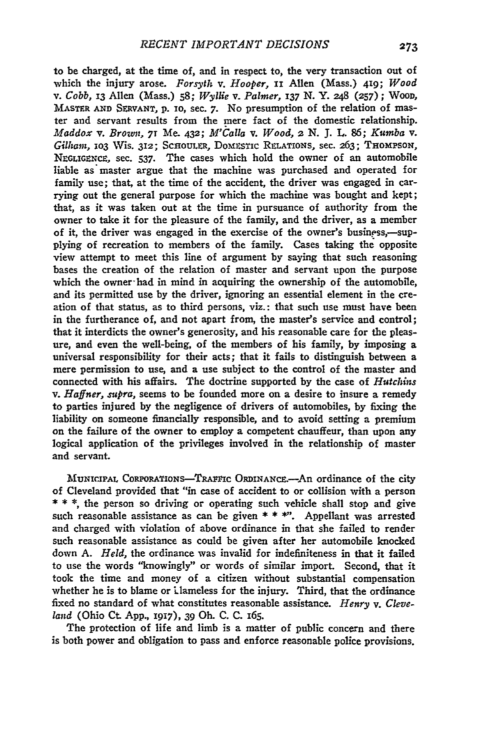to be charged, at the time of, and in respect to, the very transaction out of which the injury arose. *Forsyth* v. *Hooper,* II Allen (Mass.) 419; *Wood*  v. *Cobb,* 13 Allen (Mass.) 58; *Wyllie* v. *Palmer,* 137 N. Y. 248 (257); Woon, MASTER AND SERVANT, p. IO, sec. *7.* No presumption of the relation of master and servant results from the mere fact of the domestic relationship. Maddo~ v. *Brow11,* 71 Me. 432; *M'Calla* v. *Wood,* 2 N. J. L. 86; *Kumba* v. Gilham, 103 Wis. 312; SCHOULER, DOMESTIC RELATIONS, sec. 263; THOMPSON, NEGLIGENCE, sec. 537. The cases which hold the owner of an automobile liable as· master argue that the machine was purchased and operated for family use; that, at the time of the accident, the driver was engaged in carrying out the general purpose for which the machine was bought and kept; that, as it was taken out at the time in pursuance of authority from the owner to take it for the pleasure of the family, and the driver, as a member of it, the driver was engaged in the exercise of the owner's businrss,-supplying of recreation to members of the family. Cases taking the opposite view attempt to meet this line of argument by saying that such reasoning bases the creation of the relation of master and servant upon the purpose which the owner·had in mind in acquiring the ownership of the automobile, and its permitted use by the driver, ignoring an essential element in the creation of that status, as to third persons, viz.: that such use must have been in the furtherance of, and not apart from, the master's service and control; that it interdicts the owner's generosity, and his reasonable care for the pleasure, and even the well-being, of the members of his family, by imposing a universal responsibility for their acts; that it fails to distinguish between a mere permission to use, and a use subject to the control of the master and connected with his affairs. The doctrine supported by the case of *Hutchins*  v. *Haffner, supra,* seems to be founded more on a desire to insure a remedy to parties injured by the negligence of drivers of automobiles, by fixing the liability on someone financially responsible, and to avoid setting a premium on the failure of the owner to employ a competent chauffeur, than upon any logical application of the privileges involved in the relationship of master and servant.

MUNICIPAL CORPORATIONS-TRAFFIC ORDINANCE.-An ordinance of the city of Cleveland provided that "in case of accident to or collision with a person \* \* \*, the person so driving or operating such vehicle shall stop and give such reasonable assistance as can be given \* \* \*". Appellant was arrested and charged with violation of above ordinance in that she failed to render such reasonable assistance as could be given after her automobile knocked down A. *Held,* the ordinance was invalid for indefiniteness in that it failed to use the words "knowingly" or words of similar import. Second, that it took the time and money of a citizen without substantial compensation whether he is to blame or i.lameless for the injury. Third, that the ordinance fixed no standard of what constitutes reasonable assistance. *Henry* v. *Cleveland* (Ohio Ct. App., 1917), 39 Oh. C. C. 165.

The protection of life and limb is a matter of public concern and there is both power and obligation to pass and enforce reasonable police provisions.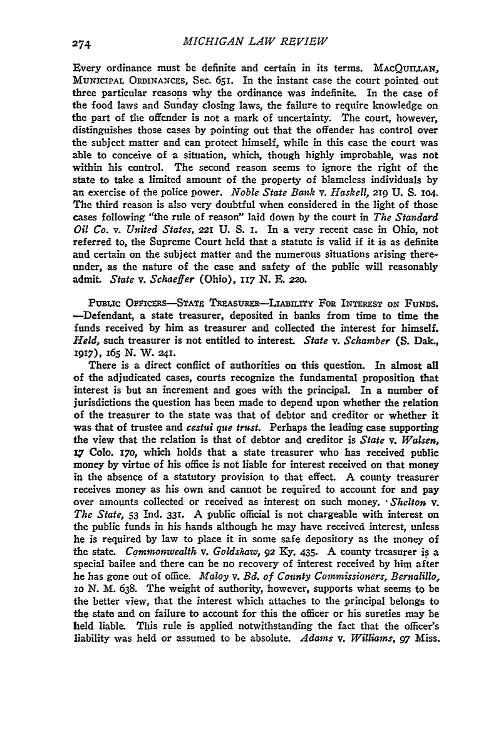Every ordinance must be definite and certain in its terms. MACOUILLAN, MUNICIPAL ORDINANCES, Sec. 651. In the instant case the court pointed out three particular reasons why the ordinance was indefinite. In the case of the food laws and Sunday closing laws, the failure to require knowledge on the part of the offender is not a mark of uncertainty. The court, however, distinguishes those cases by pointing out that the offender has control over the subject matter and can protect himself, while in this case the court was able to conceive of a situation, which, though highly improbable, was not within his control. The second reason seems to ignore the right of the state to take a limited amount of the property of blameless individuals by an exercise of the police power. *Noble State Bank* v. *Haskell,* 219 U. S. 104. The third reason is also very doubtful when considered in the light of those cases following "the rule of reason" laid down by the court in *The Standard Oil Co.* v. *United States,* 221 U. S. I. In a very recent case in Ohio, not referred to, the Supreme Court held that a statute is valid if it is as definite and certain on the subject matter and the numerous situations arising thereunder, as the nature of the case and safety of the public will reasonably admit. *State* v. *Schaeffer* (Ohio), II7 N. E. 220.

PUBLIC OFFICERS-STATE TREASURER-LIABILITY FOR INTEREST ON FUNDS. -Defendant, a state treasurer, deposited in banks from time to time the funds received by him as treasurer and collected the interest for himself. *Held,* such treasurer is not entitled to interest. *State* v. *Schamber* (S. Dak., 1917), 165 N. W. 241.

There is a direct conflict of authorities on this question. In almost all of the adjudicated cases, courts recognize the fundamental proposition that interest is but an increment and goes with the principal. In a number of jurisdictions the question has been made to depend upon whether the relation of the treasurer to the state was that of debtor and creditor or whether it was that of trustee and *cestui que trust.* Perhaps the leading case supporting the view that the relation is that of debtor and creditor is *State* v. *W alsen,*  17 Colo. 170, which holds that a state treasurer who has received public money by virtue of his office is not liable for interest received on that money in the absence of a statutory provision to that effect. A county treasurer receives money as his own and cannot be required to account for and pay over amounts collected or received as interest on such money. · *Shelton* v. *The State,* 53 Ind. 331. A public official is not chargeable with interest on the public funds in his hands although he may have received interest, unless he is required by law to place it in some safe depository as the money of the state. *Commonwealth* v. *Goldshaw,* 92 Ky. 435. A county treasurer is a special bailee and there can be no recovery of interest received by him after he has gone out of office . *• Waloy* v. *Bd. of Cormty Commissioners, Bernalillo,*  IO N. M. 638. The weight of authority, however, supports what seems to be the better view, that the interest which attaches to the principal belongs to the state and on failure to account for this the officer or his sureties may be held liable. This rule is applied notwithstanding the fact that the officer's liability was held or assumed to be absolute. *Adams* v. *Williams, 97* Miss.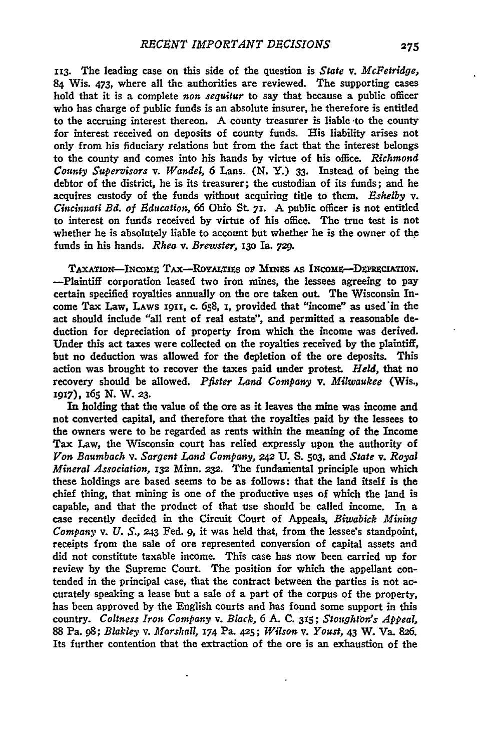u3. The leading case on this side of the question is *State* v. *McFetridge,*  84 Wis. 473, where all the authorities are reviewed. The supporting cases hold that it is a complete *non sequitur* to say that because a public officer who has charge of public funds is an absolute insurer, he therefore is entitled to the accruing interest thereon. A county treasurer is liable ·to the county for interest received on deposits of county funds. His liability arises not only from his fiduciary relations but from the fact that the interest belongs to the county and comes into his hands by virtue of his office. *Richmond County Supervisors* v. *Wandel,* 6 Lans. (N. Y.) 33. Instead of being the debtor of the district, he is its treasurer; the custodian of its funds ; and he acquires custody of the funds without acquiring title to them. *Eshelby* v. *Cincinnati Ed. of Education,* 66 Ohio St. 7r. A public officer is not entitled to interest on funds received by virtue of his office. The true test is not whether he is absolutely liable to account but whether he is the owner of the funds in his hands. *Rhea* v. *Brewster,* 130 Ia. 729.

TAXATION-INCOME TAX-ROYALTIES OF MINES AS INCOME--DEFRECIATION. -Plaintiff corporation leased two iron mines, the lessees agreeing to pay certain specified royalties annually on the ore taken out. The Wisconsin Income Tax Law, LAws 1911, c. 658, 1, provided that "income" as used in the act should include "all rent of real estate", and permitted a reasonable deduction for depreciation of property from which the income was derived. Under this act taxes were collected on the royalties received by the plaintiff, but no deduction was allowed for the depletion of the ore deposits. This action was brought to recover the taxes paid under protest. *Held,* that no recovery should be allowed. *Pfister Land Company v. Milwaukee* (Wis., 19r7), 165 N. W. 23.

In holding that the value of the ore as it leaves the mine was income and not converted capital, and therefore that the royalties paid by the lessees to the owners were to be regarded as rents within the meaning of the Income Tax Law, the Wisconsin court has relied expressly upon the authority of *Von Baumbach* v. *Sargent Land Company,* 242 U. S. 503, and *State* v. *Royal Mineral Association,* r32 Minn. 232. The fundamental principle upon which these holdings are based seems to be as follows : that the land itself is the chief thing, that mining is one of the productive uses of which the land is capable, and that the product of that use should be called income. In a case recently decided in the Circuit Court of Appeals, *Biwabick Mining*  Company v. *U. S., 243* Fed. 9, it was held that, from the lessee's standpoint, receipts from the sale of ore represented conversion of capital assets and did not constitute taxable income. This case has now been carried up for review by the Supreme Court. The position for which the appellant contended in the principal case, that the contract between the parties is not accurately speaking a lease but a sale of a part of the corpus of the property, has been approved by the English courts and has found some support in this country. *Coltness Iron Company* v. *Black,* 6 A. C. 3r5; *Stoughton's Appeal,*  88 Pa. g8; *Blakley* v. *Marshall,* I74 Pa. 425; *Wilson* v. *Youst,* 43 W. Va. 826. Its further contention that the extraction of the ore is an exhaustion of the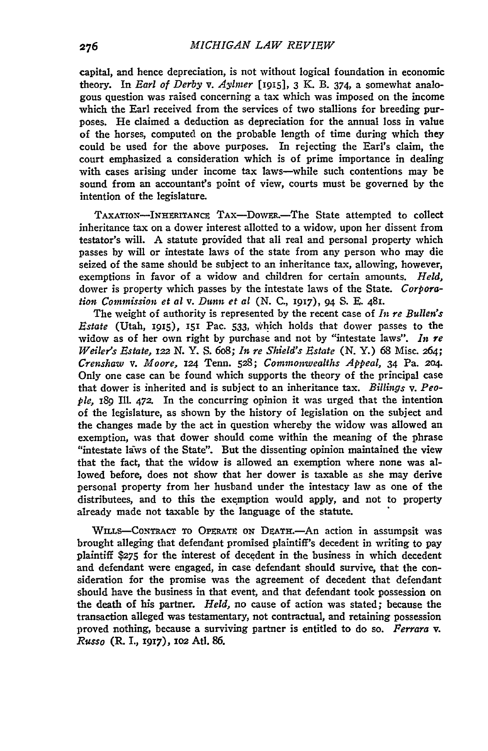capital, and hence depreciation, is not without logical foundation in economic theory. In *Earl of Derby* v. *Aylmer* [1915], 3 K. B. 374, a somewhat analogous question was raised concerning a tax which was imposed on the income which the Earl received from the services of two stallions for breeding purposes. He claimed a deduction as depreciation for the annual loss in value of the horses, computed on the probable length of time during which they could be used for the above purposes. In rejecting the Earl's claim, the court emphasized a consideration which is of prime importance in dealing with cases arising under income tax laws-while such contentions may be sound from an accountant's point of view, courts must be governed by the intention of the legislature.

TAXATION-INHERITANCE TAX-DOWER.-The State attempted to collect inheritance tax on a dower interest allotted to a widow, upon her dissent from testator's will. A statute provided that all real and personal property which passes by will or intestate laws of the state from any person who may die seized of the same should be subject to an inheritance tax, allowing, however, exemptions in favor of a widow and children for certain amounts. *Held,*  dower is property which passes by the intestate laws of the State. *Corporati01i Commission et al* v. *Dunn et al* (N. C., 1917), 94 S. E. 481.

The weight of authority is represented by the recent case of *In re Bullen's Estate* (Utah, 1915), 151 Pac. 533, which holds that dower passes to the widow as of her own right by purchase and not by "intestate laws". *In re Weiler's Estate,* 122 N. Y. S. *6o8; In re Shield's Estate* (N. Y.) 68 Misc. 264; *Crenshaw* v. *Moore,* 124 Tenn. 528; *Commonwealths Appeal,* 34 Pa . .204- 0nly one case can be found which supports the theory of the principal case that dower is inherited and is subject to an inheritance tax. *Billings* v. *People,* 189 Ill. *472.* In the concurring opinion it was urged that the intention of the legislature, as shown by the history of legislation on the subject and the changes made by the act in question whereby the widow was allowed an exemption, was that dower should come within the meaning of the phrase "intestate laws of the State". But the dissenting opinion maintained the view that the fact, that the widow is allowed an exemption where none was allowed before, does not show that her dower is taxable as she may derive personal property from her husband under the intestacy law as one of the distributees, and to this the exemption would apply, and not to property already made not taxable by the language of the statute.

WILLS-CONTRACT TO OPERATE ON DEATH.-An action in assumpsit was brought alleging that defendant promised plaintiff's decedent in writing to pay plaintiff \$275 for the interest of decedent in the business in which decedent and defendant were engaged, in case defendant should survive, that the consideration for the promise was the agreement of decedent that defendant should have the business in that event, and that defendant took possession on the death of his partner. *Held,* no cause of action was stated; because the transaction alleged was testamentary, not contractual, and retaining possession proved nothing, because a surviving partner is entitled to do so. *Ferrara* v. *Russo* (R. I., 1917), 102 Atl. 86.